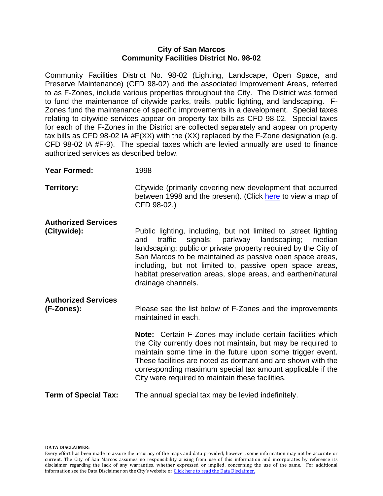### **City of San Marcos Community Facilities District No. 98-02**

Community Facilities District No. 98-02 (Lighting, Landscape, Open Space, and Preserve Maintenance) (CFD 98-02) and the associated Improvement Areas, referred to as F-Zones, include various properties throughout the City. The District was formed to fund the maintenance of citywide parks, trails, public lighting, and landscaping. F-Zones fund the maintenance of specific improvements in a development. Special taxes relating to citywide services appear on property tax bills as CFD 98-02. Special taxes for each of the F-Zones in the District are collected separately and appear on property tax bills as CFD 98-02 IA #F(XX) with the (XX) replaced by the F-Zone designation (e.g. CFD 98-02 IA #F-9). The special taxes which are levied annually are used to finance authorized services as described below.

**Year Formed:** 1998

**Territory:** Citywide (primarily covering new development that occurred between 1998 and the present). (Click [here](http://www.ci.san-marcos.ca.us/Modules/ShowDocument.aspx?documentid=1470) to view a map of CFD 98-02.)

## **Authorized Services**

**(Citywide):** Public lighting, including, but not limited to ,street lighting

and traffic signals; parkway landscaping; median landscaping; public or private property required by the City of San Marcos to be maintained as passive open space areas, including, but not limited to, passive open space areas, habitat preservation areas, slope areas, and earthen/natural drainage channels.

# **Authorized Services**

**(F-Zones):** Please see the list below of F-Zones and the improvements maintained in each.

> **Note:** Certain F-Zones may include certain facilities which the City currently does not maintain, but may be required to maintain some time in the future upon some trigger event. These facilities are noted as dormant and are shown with the corresponding maximum special tax amount applicable if the City were required to maintain these facilities.

## **Term of Special Tax:** The annual special tax may be levied indefinitely.

#### **DATA DISCLAIMER:**

Every effort has been made to assure the accuracy of the maps and data provided; however, some information may not be accurate or current. The City of San Marcos assumes no responsibility arising from use of this information and incorporates by reference its disclaimer regarding the lack of any warranties, whether expressed or implied, concerning the use of the same. For additional information see the Data Disclaimer on the City's website or [Click here to read the Data Disclaimer](http://www.ci.san-marcos.ca.us/index.aspx?page=33).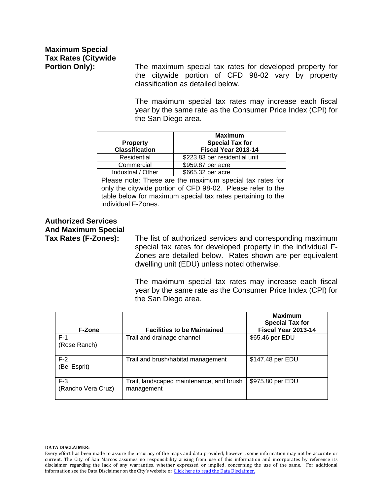**Portion Only):** The maximum special tax rates for developed property for the citywide portion of CFD 98-02 vary by property classification as detailed below.

> The maximum special tax rates may increase each fiscal year by the same rate as the Consumer Price Index (CPI) for the San Diego area.

| <b>Property</b><br><b>Classification</b> | <b>Maximum</b><br><b>Special Tax for</b><br>Fiscal Year 2013-14 |
|------------------------------------------|-----------------------------------------------------------------|
| Residential                              | \$223.83 per residential unit                                   |
| Commercial                               | \$959.87 per acre                                               |
| Industrial / Other                       | \$665.32 per acre                                               |

Please note: These are the maximum special tax rates for only the citywide portion of CFD 98-02. Please refer to the table below for maximum special tax rates pertaining to the individual F-Zones.

# **Authorized Services And Maximum Special**

**Tax Rates (F-Zones):** The list of authorized services and corresponding maximum special tax rates for developed property in the individual F-Zones are detailed below. Rates shown are per equivalent dwelling unit (EDU) unless noted otherwise.

> The maximum special tax rates may increase each fiscal year by the same rate as the Consumer Price Index (CPI) for the San Diego area.

| <b>F-Zone</b>               | <b>Facilities to be Maintained</b>                     | <b>Maximum</b><br><b>Special Tax for</b><br>Fiscal Year 2013-14 |
|-----------------------------|--------------------------------------------------------|-----------------------------------------------------------------|
| $F-1$<br>(Rose Ranch)       | Trail and drainage channel                             | \$65.46 per EDU                                                 |
| $F-2$<br>(Bel Esprit)       | Trail and brush/habitat management                     | \$147.48 per EDU                                                |
| $F-3$<br>(Rancho Vera Cruz) | Trail, landscaped maintenance, and brush<br>management | \$975.80 per EDU                                                |

#### **DATA DISCLAIMER:**

Every effort has been made to assure the accuracy of the maps and data provided; however, some information may not be accurate or current. The City of San Marcos assumes no responsibility arising from use of this information and incorporates by reference its disclaimer regarding the lack of any warranties, whether expressed or implied, concerning the use of the same. For additional information see the Data Disclaimer on the City's website or [Click here to read the Data Disclaimer](http://www.ci.san-marcos.ca.us/index.aspx?page=33).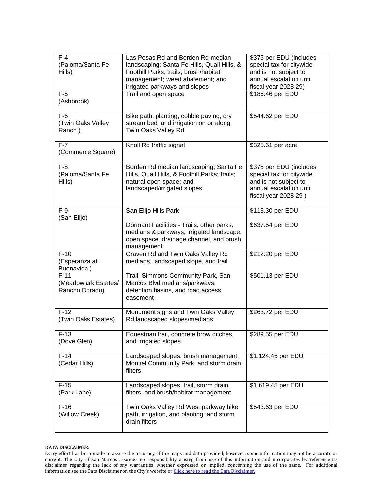| $F-4$<br>(Paloma/Santa Fe<br>Hills)              | Las Posas Rd and Borden Rd median<br>landscaping; Santa Fe Hills, Quail Hills, &<br>Foothill Parks; trails; brush/habitat<br>management; weed abatement; and<br>irrigated parkways and slopes | \$375 per EDU (includes<br>special tax for citywide<br>and is not subject to<br>annual escalation until<br>fiscal year 2028-29) |
|--------------------------------------------------|-----------------------------------------------------------------------------------------------------------------------------------------------------------------------------------------------|---------------------------------------------------------------------------------------------------------------------------------|
| $F-5$<br>(Ashbrook)                              | Trail and open space                                                                                                                                                                          | \$186.46 per EDU                                                                                                                |
| $F-6$<br>(Twin Oaks Valley<br>Ranch)             | Bike path, planting, cobble paving, dry<br>stream bed, and irrigation on or along<br>Twin Oaks Valley Rd                                                                                      | \$544.62 per EDU                                                                                                                |
| $F-7$<br>(Commerce Square)                       | Knoll Rd traffic signal                                                                                                                                                                       | \$325.61 per acre                                                                                                               |
| $F-8$<br>(Paloma/Santa Fe<br>Hills)              | Borden Rd median landscaping; Santa Fe<br>Hills, Quail Hills, & Foothill Parks; trails;<br>natural open space; and<br>landscaped/irrigated slopes                                             | \$375 per EDU (includes<br>special tax for citywide<br>and is not subject to<br>annual escalation until<br>fiscal year 2028-29) |
| $F-9$<br>(San Elijo)                             | San Elijo Hills Park                                                                                                                                                                          | \$113.30 per EDU                                                                                                                |
|                                                  | Dormant Facilities - Trails, other parks,<br>medians & parkways, irrigated landscape,<br>open space, drainage channel, and brush<br>management.                                               | \$637.54 per EDU                                                                                                                |
| $F-10$<br>(Esperanza at<br>Buenavida)            | Craven Rd and Twin Oaks Valley Rd<br>medians, landscaped slope, and trail                                                                                                                     | \$212.20 per EDU                                                                                                                |
| $F-11$<br>(Meadowlark Estates/<br>Rancho Dorado) | Trail, Simmons Community Park, San<br>Marcos Blvd medians/parkways,<br>detention basins, and road access<br>easement                                                                          | \$501.13 per EDU                                                                                                                |
| $F-12$<br>(Twin Oaks Estates)                    | Monument signs and Twin Oaks Valley<br>Rd landscaped slopes/medians                                                                                                                           | \$263.72 per EDU                                                                                                                |
| F-13<br>(Dove Glen)                              | Equestrian trail, concrete brow ditches,<br>and irrigated slopes                                                                                                                              | \$289.55 per EDU                                                                                                                |
| $F-14$<br>(Cedar Hills)                          | Landscaped slopes, brush management,<br>Montiel Community Park, and storm drain<br>filters                                                                                                    | \$1,124.45 per EDU                                                                                                              |
| $F-15$<br>(Park Lane)                            | Landscaped slopes, trail, storm drain<br>filters, and brush/habitat management                                                                                                                | \$1,619.45 per EDU                                                                                                              |
| $F-16$<br>(Willow Creek)                         | Twin Oaks Valley Rd West parkway bike<br>path, irrigation, and planting; and storm<br>drain filters                                                                                           | \$543.63 per EDU                                                                                                                |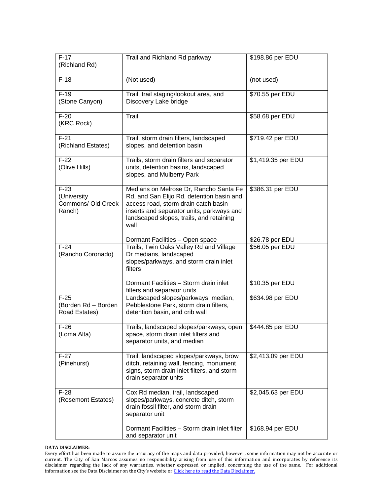| $F-17$<br>(Richland Rd)                               | Trail and Richland Rd parkway                                                                                                                                                                                                | \$198.86 per EDU   |
|-------------------------------------------------------|------------------------------------------------------------------------------------------------------------------------------------------------------------------------------------------------------------------------------|--------------------|
| $F-18$                                                | (Not used)                                                                                                                                                                                                                   | (not used)         |
| $F-19$<br>(Stone Canyon)                              | Trail, trail staging/lookout area, and<br>Discovery Lake bridge                                                                                                                                                              | \$70.55 per EDU    |
| $F-20$<br>(KRC Rock)                                  | Trail                                                                                                                                                                                                                        | \$58.68 per EDU    |
| $F-21$<br>(Richland Estates)                          | Trail, storm drain filters, landscaped<br>slopes, and detention basin                                                                                                                                                        | \$719.42 per EDU   |
| $F-22$<br>(Olive Hills)                               | Trails, storm drain filters and separator<br>units, detention basins, landscaped<br>slopes, and Mulberry Park                                                                                                                | \$1,419.35 per EDU |
| $F-23$<br>(University<br>Commons/ Old Creek<br>Ranch) | Medians on Melrose Dr, Rancho Santa Fe<br>Rd, and San Elijo Rd, detention basin and<br>access road, storm drain catch basin<br>inserts and separator units, parkways and<br>landscaped slopes, trails, and retaining<br>wall | \$386.31 per EDU   |
|                                                       | Dormant Facilities - Open space                                                                                                                                                                                              | \$26.78 per EDU    |
| $F-24$<br>(Rancho Coronado)                           | Trails, Twin Oaks Valley Rd and Village<br>Dr medians, landscaped<br>slopes/parkways, and storm drain inlet<br>filters                                                                                                       | \$56.05 per EDU    |
|                                                       | Dormant Facilities - Storm drain inlet<br>filters and separator units                                                                                                                                                        | \$10.35 per EDU    |
| $F-25$<br>(Borden Rd - Borden<br>Road Estates)        | Landscaped slopes/parkways, median,<br>Pebblestone Park, storm drain filters,<br>detention basin, and crib wall                                                                                                              | \$634.98 per EDU   |
| $F-26$<br>(Loma Alta)                                 | Trails, landscaped slopes/parkways, open<br>space, storm drain inlet filters and<br>separator units, and median                                                                                                              | \$444.85 per EDU   |
| $F-27$<br>(Pinehurst)                                 | Trail, landscaped slopes/parkways, brow<br>ditch, retaining wall, fencing, monument<br>signs, storm drain inlet filters, and storm<br>drain separator units                                                                  | \$2,413.09 per EDU |
| $F-28$<br>(Rosemont Estates)                          | Cox Rd median, trail, landscaped<br>slopes/parkways, concrete ditch, storm<br>drain fossil filter, and storm drain<br>separator unit                                                                                         | \$2,045.63 per EDU |
|                                                       | Dormant Facilities - Storm drain inlet filter<br>and separator unit                                                                                                                                                          | \$168.94 per EDU   |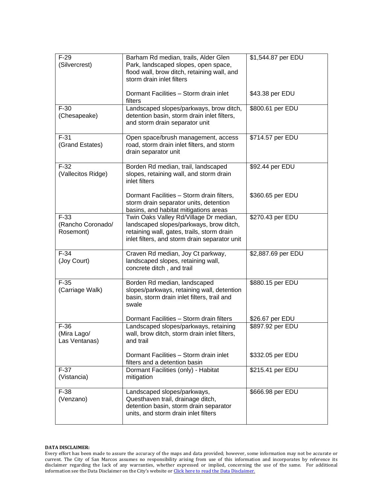| $F-29$<br>(Silvercrest)                  | Barham Rd median, trails, Alder Glen<br>Park, landscaped slopes, open space,<br>flood wall, brow ditch, retaining wall, and<br>storm drain inlet filters                         | \$1,544.87 per EDU |
|------------------------------------------|----------------------------------------------------------------------------------------------------------------------------------------------------------------------------------|--------------------|
|                                          | Dormant Facilities - Storm drain inlet<br>filters                                                                                                                                | \$43.38 per EDU    |
| $F-30$<br>(Chesapeake)                   | Landscaped slopes/parkways, brow ditch,<br>detention basin, storm drain inlet filters,<br>and storm drain separator unit                                                         | \$800.61 per EDU   |
| $F-31$<br>(Grand Estates)                | Open space/brush management, access<br>road, storm drain inlet filters, and storm<br>drain separator unit                                                                        | \$714.57 per EDU   |
| $F-32$<br>(Vallecitos Ridge)             | Borden Rd median, trail, landscaped<br>slopes, retaining wall, and storm drain<br>inlet filters                                                                                  | \$92.44 per EDU    |
|                                          | Dormant Facilities - Storm drain filters,<br>storm drain separator units, detention<br>basins, and habitat mitigations areas                                                     | \$360.65 per EDU   |
| $F-33$<br>(Rancho Coronado/<br>Rosemont) | Twin Oaks Valley Rd/Village Dr median,<br>landscaped slopes/parkways, brow ditch,<br>retaining wall, gates, trails, storm drain<br>inlet filters, and storm drain separator unit | \$270.43 per EDU   |
| $F-34$<br>(Joy Court)                    | Craven Rd median, Joy Ct parkway,<br>landscaped slopes, retaining wall,<br>concrete ditch, and trail                                                                             | \$2,887.69 per EDU |
| $F-35$<br>(Carriage Walk)                | Borden Rd median, landscaped<br>slopes/parkways, retaining wall, detention<br>basin, storm drain inlet filters, trail and<br>swale                                               | \$880.15 per EDU   |
| $F-36$                                   | Dormant Facilities - Storm drain filters                                                                                                                                         | \$26.67 per EDU    |
| (Mira Lago/<br>Las Ventanas)             | Landscaped slopes/parkways, retaining<br>wall, brow ditch, storm drain inlet filters,<br>and trail                                                                               | \$897.92 per EDU   |
|                                          | Dormant Facilities - Storm drain inlet<br>filters and a detention basin                                                                                                          | \$332.05 per EDU   |
| $F-37$<br>(Vistancia)                    | Dormant Facilities (only) - Habitat<br>mitigation                                                                                                                                | \$215.41 per EDU   |
| $F-38$<br>(Venzano)                      | Landscaped slopes/parkways,<br>Questhaven trail, drainage ditch,<br>detention basin, storm drain separator<br>units, and storm drain inlet filters                               | \$666.98 per EDU   |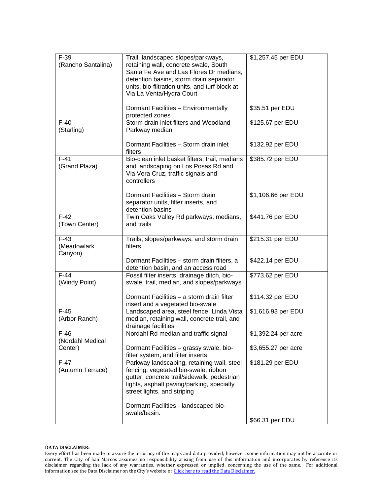| $F-39$<br>(Rancho Santalina)     | Trail, landscaped slopes/parkways,<br>retaining wall, concrete swale, South<br>Santa Fe Ave and Las Flores Dr medians,<br>detention basins, storm drain separator<br>units, bio-filtration units, and turf block at<br>Via La Venta/Hydra Court | \$1,257.45 per EDU          |
|----------------------------------|-------------------------------------------------------------------------------------------------------------------------------------------------------------------------------------------------------------------------------------------------|-----------------------------|
|                                  | Dormant Facilities - Environmentally<br>protected zones                                                                                                                                                                                         | \$35.51 per EDU             |
| $F-40$<br>(Starling)             | Storm drain inlet filters and Woodland<br>Parkway median                                                                                                                                                                                        | \$125.67 per EDU            |
|                                  | Dormant Facilities - Storm drain inlet<br>filters                                                                                                                                                                                               | \$132.92 per EDU            |
| $F-41$<br>(Grand Plaza)          | Bio-clean inlet basket filters, trail, medians<br>and landscaping on Los Posas Rd and<br>Via Vera Cruz, traffic signals and<br>controllers                                                                                                      | \$385.72 per EDU            |
|                                  | Dormant Facilities - Storm drain<br>separator units, filter inserts, and<br>detention basins                                                                                                                                                    | \$1,106.66 per EDU          |
| $F-42$<br>(Town Center)          | Twin Oaks Valley Rd parkways, medians,<br>and trails                                                                                                                                                                                            | \$441.76 per EDU            |
| $F-43$<br>(Meadowlark<br>Canyon) | Trails, slopes/parkways, and storm drain<br>filters                                                                                                                                                                                             | \$215.31 per EDU            |
|                                  | Dormant Facilities - storm drain filters, a<br>detention basin, and an access road                                                                                                                                                              | \$422.14 per EDU            |
| $F-44$<br>(Windy Point)          | Fossil filter inserts, drainage ditch, bio-<br>swale, trail, median, and slopes/parkways                                                                                                                                                        | \$773.62 per EDU            |
|                                  | Dormant Facilities - a storm drain filter<br>insert and a vegetated bio-swale                                                                                                                                                                   | \$114.32 per EDU            |
| $F-45$<br>(Arbor Ranch)          | Landscaped area, steel fence, Linda Vista<br>median, retaining wall, concrete trail, and<br>drainage facilities                                                                                                                                 | \$1,616.93 per EDU          |
| $F-46$<br>(Nordahl Medical       | Nordahl Rd median and traffic signal                                                                                                                                                                                                            | $\sqrt{$1,392.24}$ per acre |
| Center)                          | Dormant Facilities - grassy swale, bio-<br>filter system, and filter inserts                                                                                                                                                                    | \$3,655.27 per acre         |
| $F-47$<br>(Autumn Terrace)       | Parkway landscaping, retaining wall, steel<br>fencing, vegetated bio-swale, ribbon<br>gutter, concrete trail/sidewalk, pedestrian<br>lights, asphalt paving/parking, specialty<br>street lights, and striping                                   | \$181.29 per EDU            |
|                                  | Dormant Facilities - landscaped bio-<br>swale/basin.                                                                                                                                                                                            |                             |
|                                  |                                                                                                                                                                                                                                                 | \$66.31 per EDU             |